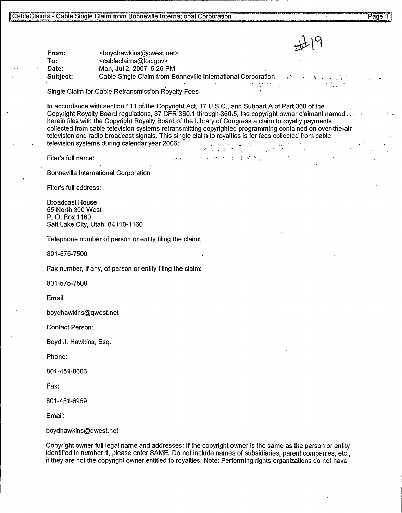From:  $\leftarrow$  <boydhawkins@qwest.net><br>To: <cableclaims@loc.gov> To: <cableclaims@loc.gov><br>Date: Mon. Jul 2, 2007 5:26 F Date: Mon, Jul 2, 2007 5:26 PM<br>Subject: Cable Single Claim from B

Cable Single Claim from Bonneville International Corporation.

Single Claim for Cable Retransmission Royalty Fees

In accordance with section 111 of the Copyright Act, 17 U.S.C., and Subpart A of Part 360 of the Copyright Royalty Board regulations, 37 CFR 360.1 through 360.5; the copyright owner claimant named herein files with the Copyright Royalty Board of the Library of Congress a claim to royalty payments collected from cable television systems retransmitting copyrighted programming contained on over-the-air television and radio broadcast signals. This single claim to royalties is for fees collected from cable . television systems during calendar year 2006.

Filer's full name:

Bonneville International Corporation

Filer's full address:

Broadcast House 55 North 300 West P. O. Box 1160 Salt Lake City, Utah 84110-1160

Telephone number of person or entity filing the claim:

801-575-7500

Fax number, if any, of person or entity filing the claim:

801-575-7509

Email:

boydhawkins@qwest.net

Contact Person:

Boyd J. Hawkins, Esq.

Phone:

801-451-0606

Fax:

801-451-6969

Email:

boydhawkins@qwest.net

Copyright owner full legal name and addresses: If the copyright owner is the same as the person or entity identified in number 1, please enter SAME. Do not include names of subsidiaries, parent companies, etc., if they are not the copyright owner entitled to royalties. Note; Performing rights organizations do not have